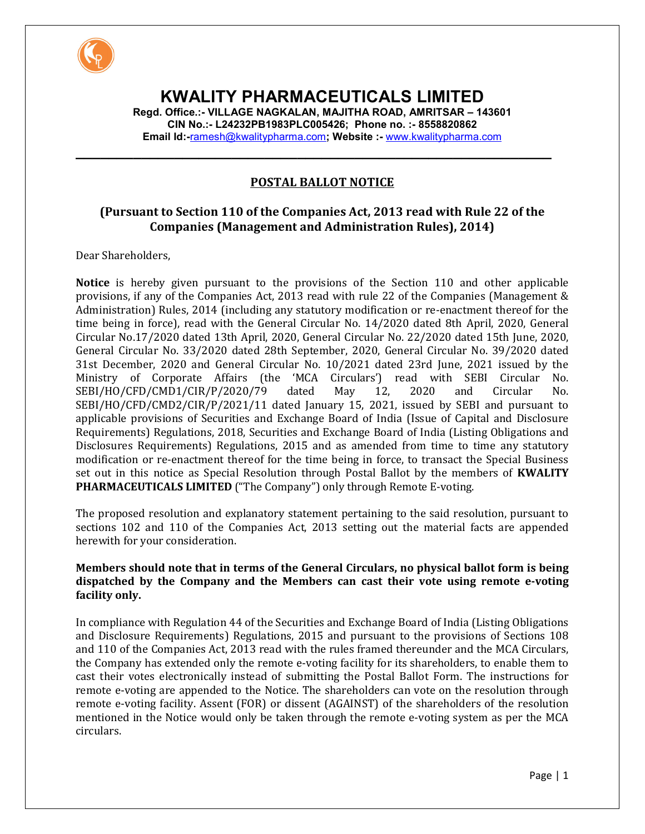

# **KWALITY PHARMACEUTICALS LIMITED**

**Regd. Office.:- VILLAGE NAGKALAN, MAJITHA ROAD, AMRITSAR – 143601 CIN No.:- L24232PB1983PLC005426; Phone no. :- 8558820862 Email Id:-**ramesh@kwalitypharma.com**; Website :-** www.kwalitypharma.com

**\_\_\_\_\_\_\_\_\_\_\_\_\_\_\_\_\_\_\_\_\_\_\_\_\_\_\_\_\_\_\_\_\_\_\_\_\_\_\_\_\_\_\_\_\_\_\_\_\_\_\_\_\_\_\_\_\_\_**

# **POSTAL BALLOT NOTICE**

# **(Pursuant to Section 110 of the Companies Act, 2013 read with Rule 22 of the Companies (Management and Administration Rules), 2014)**

Dear Shareholders,

**Notice** is hereby given pursuant to the provisions of the Section 110 and other applicable provisions, if any of the Companies Act, 2013 read with rule 22 of the Companies (Management & Administration) Rules, 2014 (including any statutory modification or re-enactment thereof for the time being in force), read with the General Circular No. 14/2020 dated 8th April, 2020, General Circular No.17/2020 dated 13th April, 2020, General Circular No. 22/2020 dated 15th June, 2020, General Circular No. 33/2020 dated 28th September, 2020, General Circular No. 39/2020 dated 31st December, 2020 and General Circular No. 10/2021 dated 23rd June, 2021 issued by the Ministry of Corporate Affairs (the 'MCA Circulars') read with SEBI Circular No. SEBI/HO/CFD/CMD1/CIR/P/2020/79 dated May 12, 2020 and Circular No. SEBI/HO/CFD/CMD2/CIR/P/2021/11 dated January 15, 2021, issued by SEBI and pursuant to applicable provisions of Securities and Exchange Board of India (Issue of Capital and Disclosure Requirements) Regulations, 2018, Securities and Exchange Board of India (Listing Obligations and Disclosures Requirements) Regulations, 2015 and as amended from time to time any statutory modification or re-enactment thereof for the time being in force, to transact the Special Business set out in this notice as Special Resolution through Postal Ballot by the members of **KWALITY PHARMACEUTICALS LIMITED** ("The Company") only through Remote E-voting.

The proposed resolution and explanatory statement pertaining to the said resolution, pursuant to sections 102 and 110 of the Companies Act, 2013 setting out the material facts are appended herewith for your consideration.

#### **Members should note that in terms of the General Circulars, no physical ballot form is being dispatched by the Company and the Members can cast their vote using remote e-voting facility only.**

In compliance with Regulation 44 of the Securities and Exchange Board of India (Listing Obligations and Disclosure Requirements) Regulations, 2015 and pursuant to the provisions of Sections 108 and 110 of the Companies Act, 2013 read with the rules framed thereunder and the MCA Circulars, the Company has extended only the remote e-voting facility for its shareholders, to enable them to cast their votes electronically instead of submitting the Postal Ballot Form. The instructions for remote e-voting are appended to the Notice. The shareholders can vote on the resolution through remote e-voting facility. Assent (FOR) or dissent (AGAINST) of the shareholders of the resolution mentioned in the Notice would only be taken through the remote e-voting system as per the MCA circulars.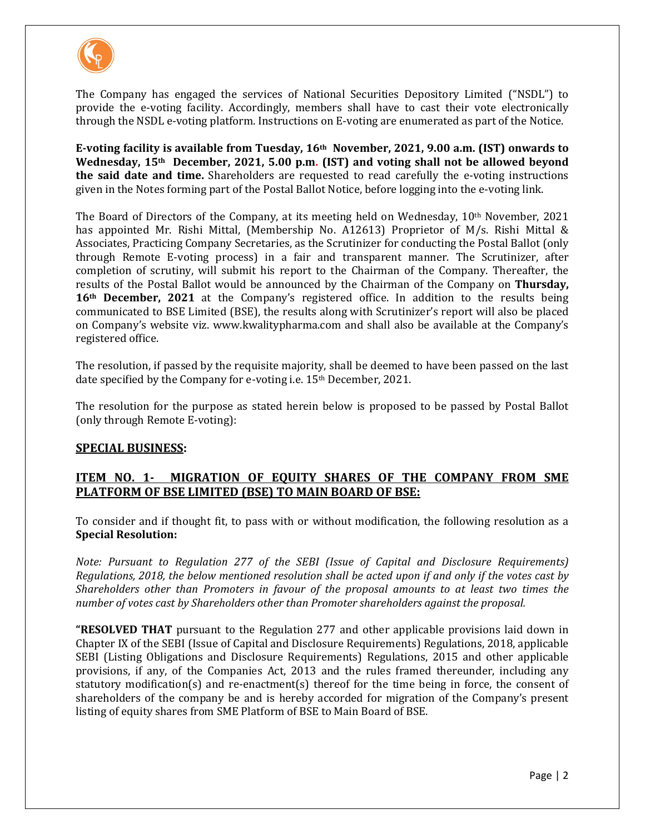

The Company has engaged the services of National Securities Depository Limited ("NSDL") to provide the e-voting facility. Accordingly, members shall have to cast their vote electronically through the NSDL e-voting platform. Instructions on E-voting are enumerated as part of the Notice.

**E-voting facility is available from Tuesday, 16th November, 2021, 9.00 a.m. (IST) onwards to Wednesday, 15th December, 2021, 5.00 p.m. (IST) and voting shall not be allowed beyond the said date and time.** Shareholders are requested to read carefully the e-voting instructions given in the Notes forming part of the Postal Ballot Notice, before logging into the e-voting link.

The Board of Directors of the Company, at its meeting held on Wednesday,  $10<sup>th</sup>$  November, 2021 has appointed Mr. Rishi Mittal, (Membership No. A12613) Proprietor of M/s. Rishi Mittal & Associates, Practicing Company Secretaries, as the Scrutinizer for conducting the Postal Ballot (only through Remote E-voting process) in a fair and transparent manner. The Scrutinizer, after completion of scrutiny, will submit his report to the Chairman of the Company. Thereafter, the results of the Postal Ballot would be announced by the Chairman of the Company on **Thursday, 16th December, 2021** at the Company's registered office. In addition to the results being communicated to BSE Limited (BSE), the results along with Scrutinizer's report will also be placed on Company's website viz. www.kwalitypharma.com and shall also be available at the Company's registered office.

The resolution, if passed by the requisite majority, shall be deemed to have been passed on the last date specified by the Company for e-voting i.e. 15th December, 2021.

The resolution for the purpose as stated herein below is proposed to be passed by Postal Ballot (only through Remote E-voting):

## **SPECIAL BUSINESS:**

## **ITEM NO. 1- MIGRATION OF EQUITY SHARES OF THE COMPANY FROM SME PLATFORM OF BSE LIMITED (BSE) TO MAIN BOARD OF BSE:**

To consider and if thought fit, to pass with or without modification, the following resolution as a **Special Resolution:** 

*Note: Pursuant to Regulation 277 of the SEBI (Issue of Capital and Disclosure Requirements) Regulations, 2018, the below mentioned resolution shall be acted upon if and only if the votes cast by Shareholders other than Promoters in favour of the proposal amounts to at least two times the number of votes cast by Shareholders other than Promoter shareholders against the proposal.* 

**"RESOLVED THAT** pursuant to the Regulation 277 and other applicable provisions laid down in Chapter IX of the SEBI (Issue of Capital and Disclosure Requirements) Regulations, 2018, applicable SEBI (Listing Obligations and Disclosure Requirements) Regulations, 2015 and other applicable provisions, if any, of the Companies Act, 2013 and the rules framed thereunder, including any statutory modification(s) and re-enactment(s) thereof for the time being in force, the consent of shareholders of the company be and is hereby accorded for migration of the Company's present listing of equity shares from SME Platform of BSE to Main Board of BSE.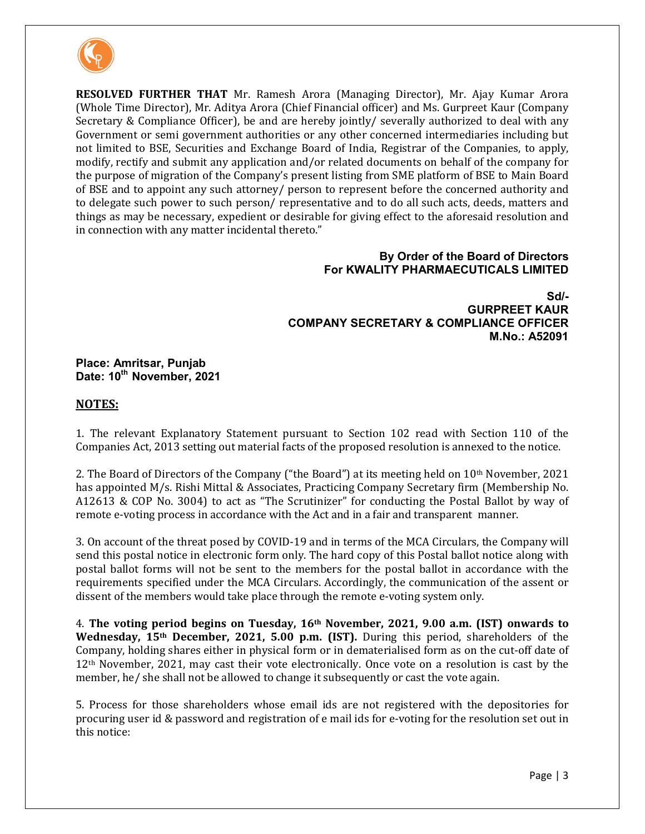

**RESOLVED FURTHER THAT** Mr. Ramesh Arora (Managing Director), Mr. Ajay Kumar Arora (Whole Time Director), Mr. Aditya Arora (Chief Financial officer) and Ms. Gurpreet Kaur (Company Secretary & Compliance Officer), be and are hereby jointly/ severally authorized to deal with any Government or semi government authorities or any other concerned intermediaries including but not limited to BSE, Securities and Exchange Board of India, Registrar of the Companies, to apply, modify, rectify and submit any application and/or related documents on behalf of the company for the purpose of migration of the Company's present listing from SME platform of BSE to Main Board of BSE and to appoint any such attorney/ person to represent before the concerned authority and to delegate such power to such person/ representative and to do all such acts, deeds, matters and things as may be necessary, expedient or desirable for giving effect to the aforesaid resolution and in connection with any matter incidental thereto."

#### **By Order of the Board of Directors For KWALITY PHARMAECUTICALS LIMITED**

**Sd/- GURPREET KAUR COMPANY SECRETARY & COMPLIANCE OFFICER M.No.: A52091** 

**Place: Amritsar, Punjab Date: 10th November, 2021** 

#### **NOTES:**

1. The relevant Explanatory Statement pursuant to Section 102 read with Section 110 of the Companies Act, 2013 setting out material facts of the proposed resolution is annexed to the notice.

2. The Board of Directors of the Company ("the Board") at its meeting held on 10th November, 2021 has appointed M/s. Rishi Mittal & Associates, Practicing Company Secretary firm (Membership No. A12613 & COP No. 3004) to act as "The Scrutinizer" for conducting the Postal Ballot by way of remote e-voting process in accordance with the Act and in a fair and transparent manner.

3. On account of the threat posed by COVID-19 and in terms of the MCA Circulars, the Company will send this postal notice in electronic form only. The hard copy of this Postal ballot notice along with postal ballot forms will not be sent to the members for the postal ballot in accordance with the requirements specified under the MCA Circulars. Accordingly, the communication of the assent or dissent of the members would take place through the remote e-voting system only.

4. **The voting period begins on Tuesday, 16th November, 2021, 9.00 a.m. (IST) onwards to Wednesday, 15th December, 2021, 5.00 p.m. (IST).** During this period, shareholders of the Company, holding shares either in physical form or in dematerialised form as on the cut-off date of 12th November, 2021, may cast their vote electronically. Once vote on a resolution is cast by the member, he/ she shall not be allowed to change it subsequently or cast the vote again.

5. Process for those shareholders whose email ids are not registered with the depositories for procuring user id & password and registration of e mail ids for e-voting for the resolution set out in this notice: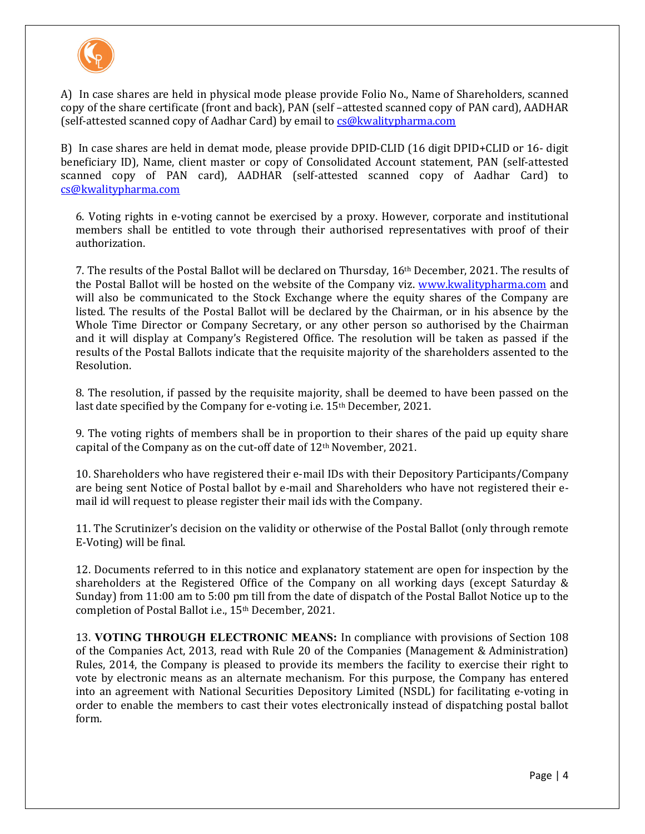

A) In case shares are held in physical mode please provide Folio No., Name of Shareholders, scanned copy of the share certificate (front and back), PAN (self –attested scanned copy of PAN card), AADHAR (self-attested scanned copy of Aadhar Card) by email to cs@kwalitypharma.com

B) In case shares are held in demat mode, please provide DPID-CLID (16 digit DPID+CLID or 16- digit beneficiary ID), Name, client master or copy of Consolidated Account statement, PAN (self-attested scanned copy of PAN card), AADHAR (self-attested scanned copy of Aadhar Card) to cs@kwalitypharma.com

6. Voting rights in e-voting cannot be exercised by a proxy. However, corporate and institutional members shall be entitled to vote through their authorised representatives with proof of their authorization.

7. The results of the Postal Ballot will be declared on Thursday, 16th December, 2021. The results of the Postal Ballot will be hosted on the website of the Company viz. www.kwalitypharma.com and will also be communicated to the Stock Exchange where the equity shares of the Company are listed. The results of the Postal Ballot will be declared by the Chairman, or in his absence by the Whole Time Director or Company Secretary, or any other person so authorised by the Chairman and it will display at Company's Registered Office. The resolution will be taken as passed if the results of the Postal Ballots indicate that the requisite majority of the shareholders assented to the Resolution.

8. The resolution, if passed by the requisite majority, shall be deemed to have been passed on the last date specified by the Company for e-voting i.e. 15<sup>th</sup> December, 2021.

9. The voting rights of members shall be in proportion to their shares of the paid up equity share capital of the Company as on the cut-off date of 12th November, 2021.

10. Shareholders who have registered their e-mail IDs with their Depository Participants/Company are being sent Notice of Postal ballot by e-mail and Shareholders who have not registered their email id will request to please register their mail ids with the Company.

11. The Scrutinizer's decision on the validity or otherwise of the Postal Ballot (only through remote E-Voting) will be final.

12. Documents referred to in this notice and explanatory statement are open for inspection by the shareholders at the Registered Office of the Company on all working days (except Saturday & Sunday) from 11:00 am to 5:00 pm till from the date of dispatch of the Postal Ballot Notice up to the completion of Postal Ballot i.e., 15th December, 2021.

13. **VOTING THROUGH ELECTRONIC MEANS:** In compliance with provisions of Section 108 of the Companies Act, 2013, read with Rule 20 of the Companies (Management & Administration) Rules, 2014, the Company is pleased to provide its members the facility to exercise their right to vote by electronic means as an alternate mechanism. For this purpose, the Company has entered into an agreement with National Securities Depository Limited (NSDL) for facilitating e-voting in order to enable the members to cast their votes electronically instead of dispatching postal ballot form.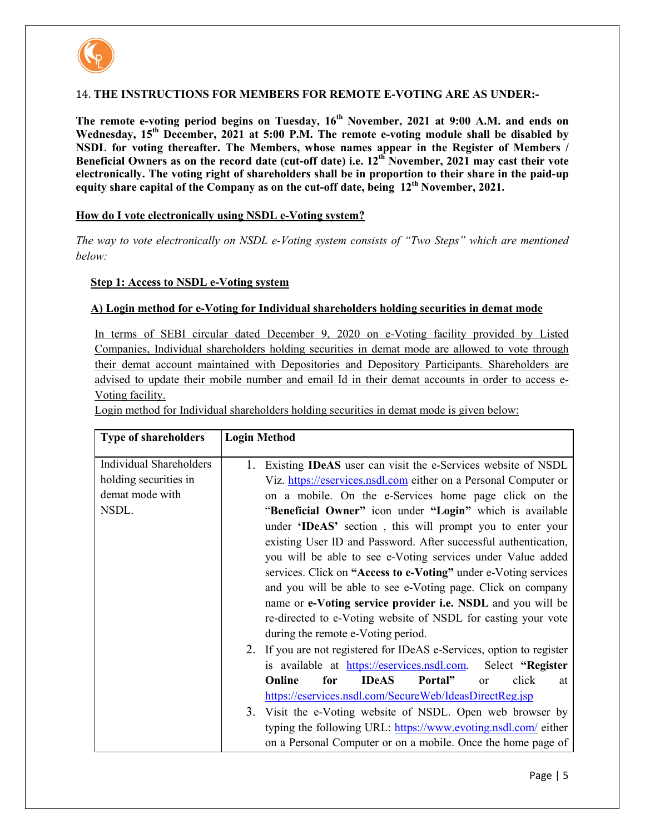

#### 14. **THE INSTRUCTIONS FOR MEMBERS FOR REMOTE E-VOTING ARE AS UNDER:-**

**The remote e-voting period begins on Tuesday, 16th November, 2021 at 9:00 A.M. and ends on Wednesday, 15th December, 2021 at 5:00 P.M. The remote e-voting module shall be disabled by NSDL for voting thereafter. The Members, whose names appear in the Register of Members / Beneficial Owners as on the record date (cut-off date) i.e. 12th November, 2021 may cast their vote electronically. The voting right of shareholders shall be in proportion to their share in the paid-up equity share capital of the Company as on the cut-off date, being 12th November, 2021.** 

#### **How do I vote electronically using NSDL e-Voting system?**

*The way to vote electronically on NSDL e-Voting system consists of "Two Steps" which are mentioned below:* 

#### **Step 1: Access to NSDL e-Voting system**

#### **A) Login method for e-Voting for Individual shareholders holding securities in demat mode**

In terms of SEBI circular dated December 9, 2020 on e-Voting facility provided by Listed Companies, Individual shareholders holding securities in demat mode are allowed to vote through their demat account maintained with Depositories and Depository Participants. Shareholders are advised to update their mobile number and email Id in their demat accounts in order to access e-Voting facility.

Login method for Individual shareholders holding securities in demat mode is given below:

| <b>Type of shareholders</b>    | <b>Login Method</b>                                                       |
|--------------------------------|---------------------------------------------------------------------------|
| <b>Individual Shareholders</b> | Existing <b>IDeAS</b> user can visit the e-Services website of NSDL<br>1. |
| holding securities in          | Viz. https://eservices.nsdl.com either on a Personal Computer or          |
| demat mode with                | on a mobile. On the e-Services home page click on the                     |
| NSDL.                          | "Beneficial Owner" icon under "Login" which is available                  |
|                                | under 'IDeAS' section, this will prompt you to enter your                 |
|                                | existing User ID and Password. After successful authentication,           |
|                                | you will be able to see e-Voting services under Value added               |
|                                | services. Click on "Access to e-Voting" under e-Voting services           |
|                                | and you will be able to see e-Voting page. Click on company               |
|                                | name or e-Voting service provider i.e. NSDL and you will be               |
|                                | re-directed to e-Voting website of NSDL for casting your vote             |
|                                | during the remote e-Voting period.                                        |
|                                | If you are not registered for IDeAS e-Services, option to register<br>2.  |
|                                | is available at https://eservices.nsdl.com.<br>Select "Register           |
|                                | <b>IDeAS</b><br>Online<br>for<br>Portal"<br>click<br><sub>or</sub><br>at  |
|                                | https://eservices.nsdl.com/SecureWeb/IdeasDirectReg.jsp                   |
|                                | 3. Visit the e-Voting website of NSDL. Open web browser by                |
|                                | typing the following URL: https://www.evoting.nsdl.com/ either            |
|                                | on a Personal Computer or on a mobile. Once the home page of              |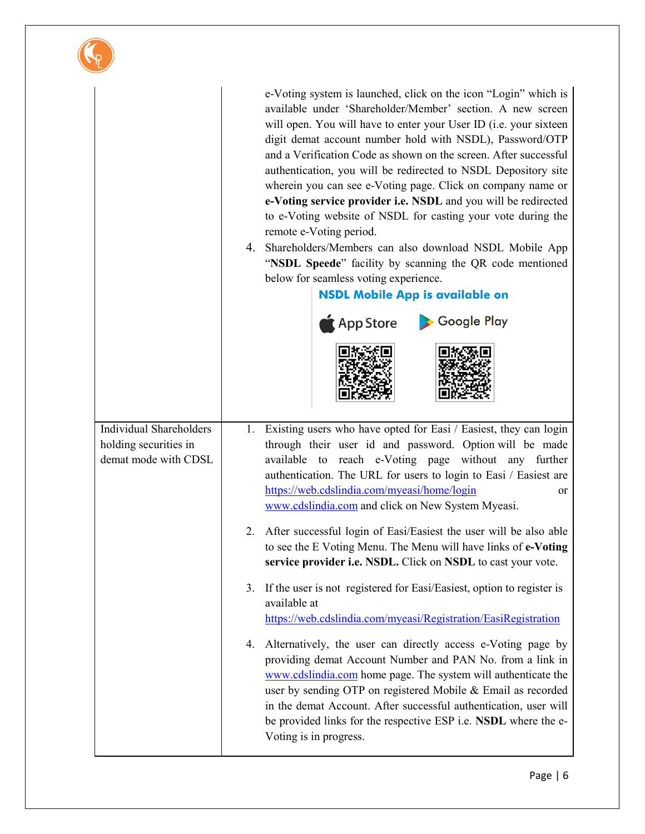|                                                                                 | e-Voting system is launched, click on the icon "Login" which is<br>available under 'Shareholder/Member' section. A new screen<br>will open. You will have to enter your User ID (i.e. your sixteen<br>digit demat account number hold with NSDL), Password/OTP<br>and a Verification Code as shown on the screen. After successful<br>authentication, you will be redirected to NSDL Depository site<br>wherein you can see e-Voting page. Click on company name or<br>e-Voting service provider i.e. NSDL and you will be redirected<br>to e-Voting website of NSDL for casting your vote during the<br>remote e-Voting period.<br>4. Shareholders/Members can also download NSDL Mobile App<br>"NSDL Speede" facility by scanning the QR code mentioned<br>below for seamless voting experience.<br><b>NSDL Mobile App is available on</b><br>App Store > Google Play |
|---------------------------------------------------------------------------------|-------------------------------------------------------------------------------------------------------------------------------------------------------------------------------------------------------------------------------------------------------------------------------------------------------------------------------------------------------------------------------------------------------------------------------------------------------------------------------------------------------------------------------------------------------------------------------------------------------------------------------------------------------------------------------------------------------------------------------------------------------------------------------------------------------------------------------------------------------------------------|
| <b>Individual Shareholders</b><br>holding securities in<br>demat mode with CDSL | 1. Existing users who have opted for Easi / Easiest, they can login<br>through their user id and password. Option will be made<br>available to reach e-Voting page without any further<br>authentication. The URL for users to login to Easi / Easiest are<br>https://web.cdslindia.com/myeasi/home/login<br>or<br>www.cdslindia.com and click on New System Myeasi.                                                                                                                                                                                                                                                                                                                                                                                                                                                                                                    |
|                                                                                 | 2. After successful login of Easi/Easiest the user will be also able<br>to see the E Voting Menu. The Menu will have links of e-Voting<br>service provider i.e. NSDL. Click on NSDL to cast your vote.                                                                                                                                                                                                                                                                                                                                                                                                                                                                                                                                                                                                                                                                  |
|                                                                                 | 3. If the user is not registered for Easi/Easiest, option to register is<br>available at<br>https://web.cdslindia.com/myeasi/Registration/EasiRegistration                                                                                                                                                                                                                                                                                                                                                                                                                                                                                                                                                                                                                                                                                                              |
|                                                                                 | 4. Alternatively, the user can directly access e-Voting page by<br>providing demat Account Number and PAN No. from a link in<br>www.cdslindia.com home page. The system will authenticate the<br>user by sending OTP on registered Mobile & Email as recorded<br>in the demat Account. After successful authentication, user will<br>be provided links for the respective ESP <i>i.e.</i> NSDL where the e-<br>Voting is in progress.                                                                                                                                                                                                                                                                                                                                                                                                                                   |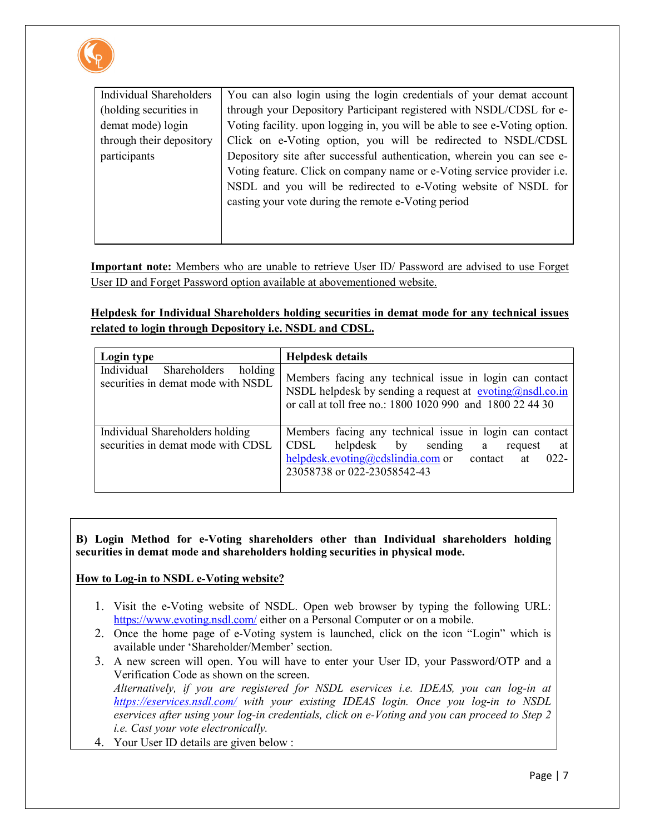

| <b>Individual Shareholders</b> | You can also login using the login credentials of your demat account           |
|--------------------------------|--------------------------------------------------------------------------------|
| (holding securities in         | through your Depository Participant registered with NSDL/CDSL for e-           |
| demat mode) login              | Voting facility. upon logging in, you will be able to see e-Voting option.     |
| through their depository       | Click on e-Voting option, you will be redirected to NSDL/CDSL                  |
| participants                   | Depository site after successful authentication, wherein you can see e-        |
|                                | Voting feature. Click on company name or e-Voting service provider <i>i.e.</i> |
|                                | NSDL and you will be redirected to e-Voting website of NSDL for                |
|                                | casting your vote during the remote e-Voting period                            |
|                                |                                                                                |
|                                |                                                                                |

**Important note:** Members who are unable to retrieve User ID/ Password are advised to use Forget User ID and Forget Password option available at abovementioned website.

**Helpdesk for Individual Shareholders holding securities in demat mode for any technical issues related to login through Depository i.e. NSDL and CDSL.**

| Login type                                                                  | <b>Helpdesk details</b>                                                                                                                                                                                            |
|-----------------------------------------------------------------------------|--------------------------------------------------------------------------------------------------------------------------------------------------------------------------------------------------------------------|
| Individual<br>Shareholders<br>holding<br>securities in demat mode with NSDL | Members facing any technical issue in login can contact<br>NSDL helpdesk by sending a request at $\frac{evoting(\partial n s d) \cdot co.in}{e}$<br>or call at toll free no.: 1800 1020 990 and 1800 22 44 30      |
| Individual Shareholders holding<br>securities in demat mode with CDSL       | Members facing any technical issue in login can contact<br>helpdesk by<br>CDSL<br>sending<br>a a<br>request<br>at<br>$help desk.evoting @cdslindia.com$ or contact<br>$022 -$<br>at<br>23058738 or 022-23058542-43 |

#### **B) Login Method for e-Voting shareholders other than Individual shareholders holding securities in demat mode and shareholders holding securities in physical mode.**

## **How to Log-in to NSDL e-Voting website?**

- 1. Visit the e-Voting website of NSDL. Open web browser by typing the following URL: https://www.evoting.nsdl.com/ either on a Personal Computer or on a mobile.
- 2. Once the home page of e-Voting system is launched, click on the icon "Login" which is available under 'Shareholder/Member' section.
- 3. A new screen will open. You will have to enter your User ID, your Password/OTP and a Verification Code as shown on the screen. *Alternatively, if you are registered for NSDL eservices i.e. IDEAS, you can log-in at https://eservices.nsdl.com/ with your existing IDEAS login. Once you log-in to NSDL eservices after using your log-in credentials, click on e-Voting and you can proceed to Step 2 i.e. Cast your vote electronically.*
- 4. Your User ID details are given below :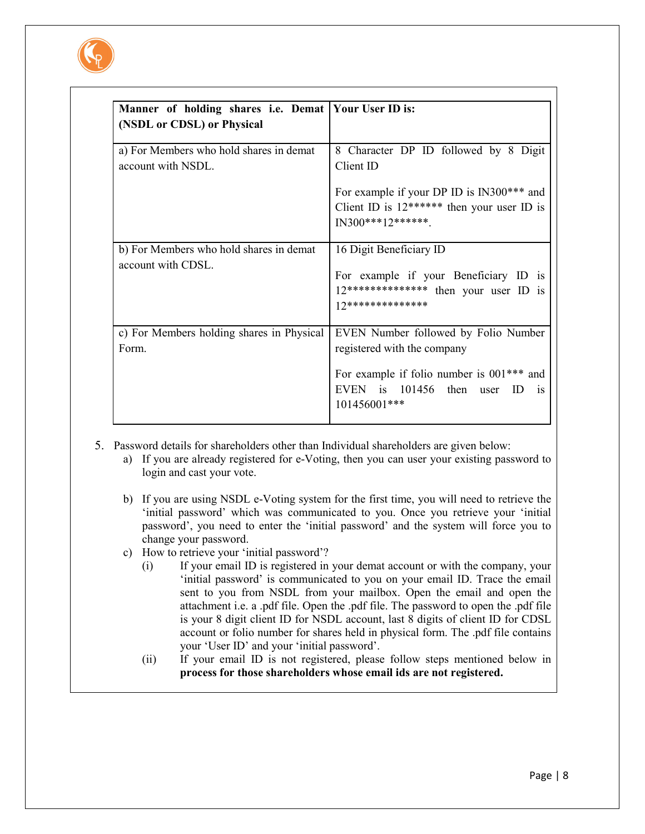

| Manner of holding shares i.e. Demat   Your User ID is:        |                                                                                                                                              |
|---------------------------------------------------------------|----------------------------------------------------------------------------------------------------------------------------------------------|
| (NSDL or CDSL) or Physical                                    |                                                                                                                                              |
|                                                               |                                                                                                                                              |
| a) For Members who hold shares in demat<br>account with NSDL. | 8 Character DP ID followed by 8 Digit<br>Client ID                                                                                           |
|                                                               | For example if your DP ID is IN300*** and<br>Client ID is $12******$ then your user ID is<br>$IN300***12******$                              |
| b) For Members who hold shares in demat<br>account with CDSL. | 16 Digit Beneficiary ID<br>For example if your Beneficiary ID is<br>$12******************$ then your user ID is<br>$12*********************$ |
| c) For Members holding shares in Physical<br>Form.            | EVEN Number followed by Folio Number<br>registered with the company<br>For example if folio number is $001***$ and                           |
|                                                               | EVEN is 101456 then user ID<br><sup>is</sup><br>101456001***                                                                                 |

- 5. Password details for shareholders other than Individual shareholders are given below:
	- a) If you are already registered for e-Voting, then you can user your existing password to login and cast your vote.
	- b) If you are using NSDL e-Voting system for the first time, you will need to retrieve the 'initial password' which was communicated to you. Once you retrieve your 'initial password', you need to enter the 'initial password' and the system will force you to change your password.
	- c) How to retrieve your 'initial password'?
		- (i) If your email ID is registered in your demat account or with the company, your 'initial password' is communicated to you on your email ID. Trace the email sent to you from NSDL from your mailbox. Open the email and open the attachment i.e. a .pdf file. Open the .pdf file. The password to open the .pdf file is your 8 digit client ID for NSDL account, last 8 digits of client ID for CDSL account or folio number for shares held in physical form. The .pdf file contains your 'User ID' and your 'initial password'.
		- (ii) If your email ID is not registered, please follow steps mentioned below in **process for those shareholders whose email ids are not registered.**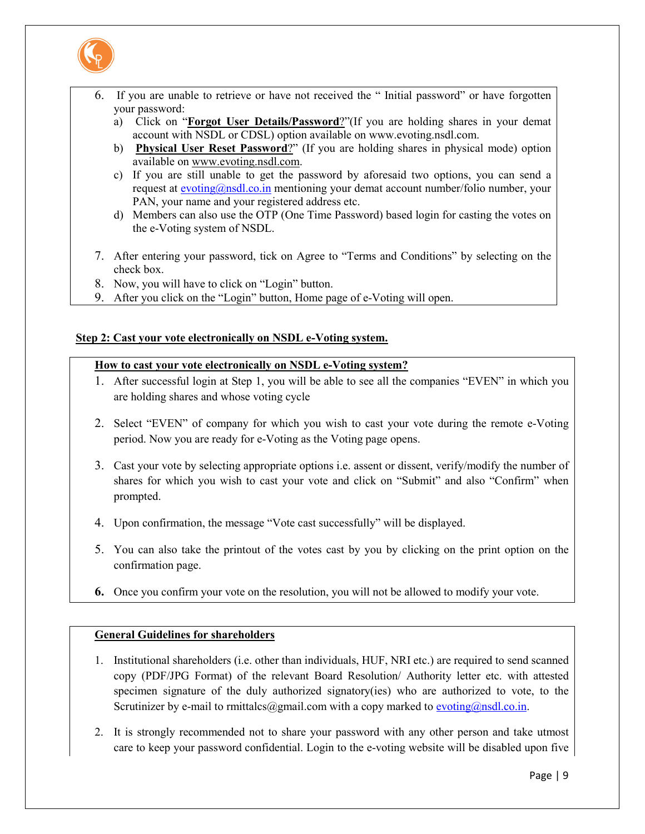

- 6. If you are unable to retrieve or have not received the " Initial password" or have forgotten your password:
	- a) Click on "**Forgot User Details/Password**?"(If you are holding shares in your demat account with NSDL or CDSL) option available on www.evoting.nsdl.com.
	- b) **Physical User Reset Password**?" (If you are holding shares in physical mode) option available on www.evoting.nsdl.com.
	- c) If you are still unable to get the password by aforesaid two options, you can send a request at evoting@nsdl.co.in mentioning your demat account number/folio number, your PAN, your name and your registered address etc.
	- d) Members can also use the OTP (One Time Password) based login for casting the votes on the e-Voting system of NSDL.
- 7. After entering your password, tick on Agree to "Terms and Conditions" by selecting on the check box.
- 8. Now, you will have to click on "Login" button.
- 9. After you click on the "Login" button, Home page of e-Voting will open.

#### **Step 2: Cast your vote electronically on NSDL e-Voting system.**

#### **How to cast your vote electronically on NSDL e-Voting system?**

- 1. After successful login at Step 1, you will be able to see all the companies "EVEN" in which you are holding shares and whose voting cycle
- 2. Select "EVEN" of company for which you wish to cast your vote during the remote e-Voting period. Now you are ready for e-Voting as the Voting page opens.
- 3. Cast your vote by selecting appropriate options i.e. assent or dissent, verify/modify the number of shares for which you wish to cast your vote and click on "Submit" and also "Confirm" when prompted.
- 4. Upon confirmation, the message "Vote cast successfully" will be displayed.
- 5. You can also take the printout of the votes cast by you by clicking on the print option on the confirmation page.
- **6.** Once you confirm your vote on the resolution, you will not be allowed to modify your vote.

## **General Guidelines for shareholders**

- 1. Institutional shareholders (i.e. other than individuals, HUF, NRI etc.) are required to send scanned copy (PDF/JPG Format) of the relevant Board Resolution/ Authority letter etc. with attested specimen signature of the duly authorized signatory(ies) who are authorized to vote, to the Scrutinizer by e-mail to rmittalcs@gmail.com with a copy marked to evoting@nsdl.co.in.
- 2. It is strongly recommended not to share your password with any other person and take utmost care to keep your password confidential. Login to the e-voting website will be disabled upon five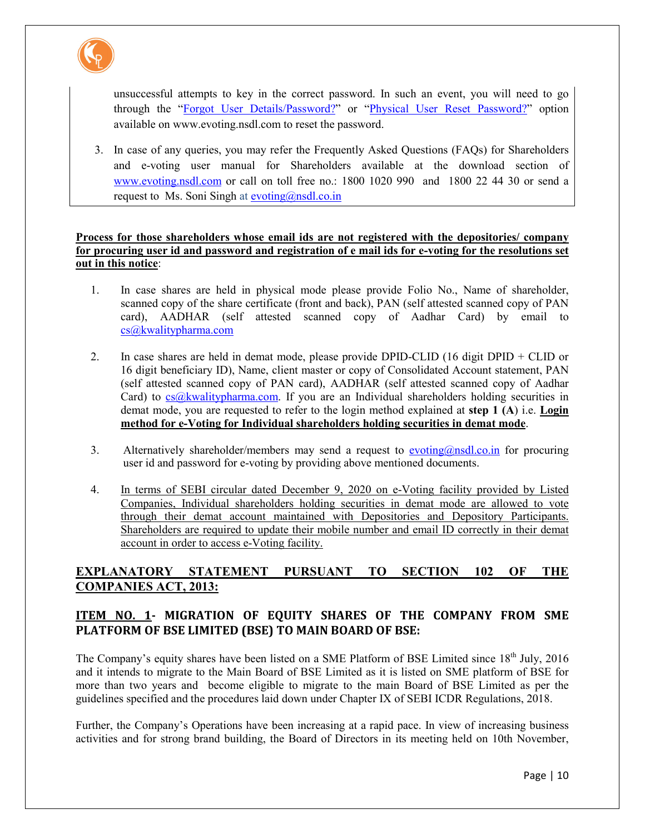

unsuccessful attempts to key in the correct password. In such an event, you will need to go through the "Forgot User Details/Password?" or "Physical User Reset Password?" option available on www.evoting.nsdl.com to reset the password.

3. In case of any queries, you may refer the Frequently Asked Questions (FAQs) for Shareholders and e-voting user manual for Shareholders available at the download section of www.evoting.nsdl.com or call on toll free no.: 1800 1020 990 and 1800 22 44 30 or send a request to Ms. Soni Singh at evoting@nsdl.co.in

#### **Process for those shareholders whose email ids are not registered with the depositories/ company for procuring user id and password and registration of e mail ids for e-voting for the resolutions set out in this notice**:

- 1. In case shares are held in physical mode please provide Folio No., Name of shareholder, scanned copy of the share certificate (front and back), PAN (self attested scanned copy of PAN card), AADHAR (self attested scanned copy of Aadhar Card) by email to cs@kwalitypharma.com
- 2. In case shares are held in demat mode, please provide DPID-CLID (16 digit DPID + CLID or 16 digit beneficiary ID), Name, client master or copy of Consolidated Account statement, PAN (self attested scanned copy of PAN card), AADHAR (self attested scanned copy of Aadhar Card) to  $cs@kwalitypharma.com$ . If you are an Individual shareholders holding securities in demat mode, you are requested to refer to the login method explained at **step 1 (A**) i.e. **Login method for e-Voting for Individual shareholders holding securities in demat mode**.
- 3. Alternatively shareholder/members may send a request to evoting@nsdl.co.in for procuring user id and password for e-voting by providing above mentioned documents.
- 4. In terms of SEBI circular dated December 9, 2020 on e-Voting facility provided by Listed Companies, Individual shareholders holding securities in demat mode are allowed to vote through their demat account maintained with Depositories and Depository Participants. Shareholders are required to update their mobile number and email ID correctly in their demat account in order to access e-Voting facility.

# **EXPLANATORY STATEMENT PURSUANT TO SECTION 102 OF THE COMPANIES ACT, 2013:**

# **ITEM NO. 1- MIGRATION OF EQUITY SHARES OF THE COMPANY FROM SME PLATFORM OF BSE LIMITED (BSE) TO MAIN BOARD OF BSE:**

The Company's equity shares have been listed on a SME Platform of BSE Limited since 18<sup>th</sup> July, 2016 and it intends to migrate to the Main Board of BSE Limited as it is listed on SME platform of BSE for more than two years and become eligible to migrate to the main Board of BSE Limited as per the guidelines specified and the procedures laid down under Chapter IX of SEBI ICDR Regulations, 2018.

Further, the Company's Operations have been increasing at a rapid pace. In view of increasing business activities and for strong brand building, the Board of Directors in its meeting held on 10th November,